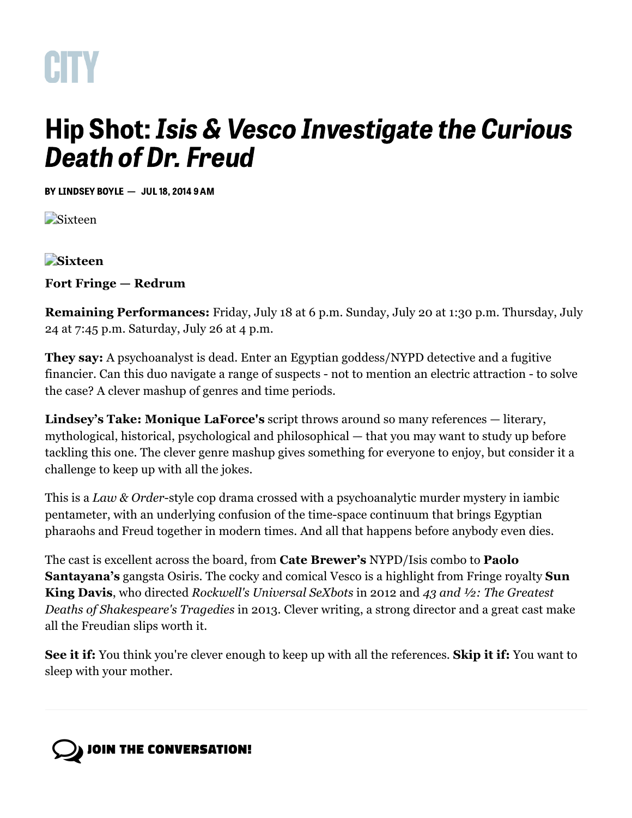

## Hip Shot: Isis & Vesco Investigate the Curious Death of Dr. Freud

BY [LINDSEY](https://www.washingtoncitypaper.com/home/contact/13048661/lindsey-boyle) BOYLE — JUL 18, 2014 9 AM

**Sixteen** 

## **Sixteen**

## **Fort Fringe — Redrum**

**Remaining Performances:** Friday, July 18 at 6 p.m. Sunday, July 20 at 1:30 p.m. Thursday, July 24 at 7:45 p.m. Saturday, July 26 at 4 p.m.

**They say:** A psychoanalyst is dead. Enter an Egyptian goddess/NYPD detective and a fugitive financier. Can this duo navigate a range of suspects - not to mention an electric attraction - to solve the case? A clever mashup of genres and time periods.

**Lindsey's Take: Monique LaForce's** script throws around so many references — literary, mythological, historical, psychological and philosophical — that you may want to study up before tackling this one. The clever genre mashup gives something for everyone to enjoy, but consider it a challenge to keep up with all the jokes.

This is a *Law & Order*-style cop drama crossed with a psychoanalytic murder mystery in iambic pentameter, with an underlying confusion of the time-space continuum that brings Egyptian pharaohs and Freud together in modern times. And all that happens before anybody even dies.

The cast is excellent across the board, from **Cate Brewer's** NYPD/Isis combo to **Paolo Santayana's** gangsta Osiris. The cocky and comical Vesco is a highlight from Fringe royalty **Sun King Davis**, who directed *Rockwell's Universal SeXbots* in 2012 and *43 and ½: The Greatest Deaths of Shakespeare's Tragedies* in 2013. Clever writing, a strong director and a great cast make all the Freudian slips worth it.

**See it if:** You think you're clever enough to keep up with all the references. **Skip it if:** You want to sleep with your mother.